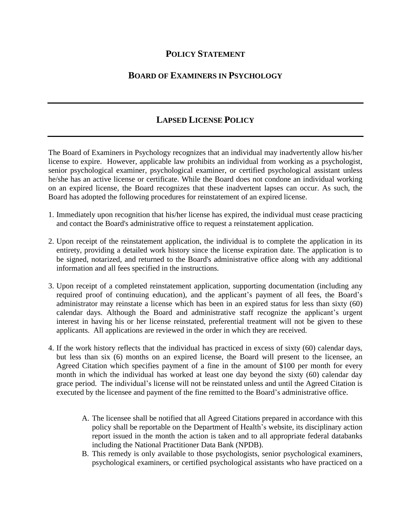## **POLICY STATEMENT**

## **BOARD OF EXAMINERS IN PSYCHOLOGY**

## **LAPSED LICENSE POLICY**

The Board of Examiners in Psychology recognizes that an individual may inadvertently allow his/her license to expire. However, applicable law prohibits an individual from working as a psychologist, senior psychological examiner, psychological examiner, or certified psychological assistant unless he/she has an active license or certificate. While the Board does not condone an individual working on an expired license, the Board recognizes that these inadvertent lapses can occur. As such, the Board has adopted the following procedures for reinstatement of an expired license.

- 1. Immediately upon recognition that his/her license has expired, the individual must cease practicing and contact the Board's administrative office to request a reinstatement application.
- 2. Upon receipt of the reinstatement application, the individual is to complete the application in its entirety, providing a detailed work history since the license expiration date. The application is to be signed, notarized, and returned to the Board's administrative office along with any additional information and all fees specified in the instructions.
- 3. Upon receipt of a completed reinstatement application, supporting documentation (including any required proof of continuing education), and the applicant's payment of all fees, the Board's administrator may reinstate a license which has been in an expired status for less than sixty (60) calendar days. Although the Board and administrative staff recognize the applicant's urgent interest in having his or her license reinstated, preferential treatment will not be given to these applicants. All applications are reviewed in the order in which they are received.
- 4. If the work history reflects that the individual has practiced in excess of sixty (60) calendar days, but less than six (6) months on an expired license, the Board will present to the licensee, an Agreed Citation which specifies payment of a fine in the amount of \$100 per month for every month in which the individual has worked at least one day beyond the sixty (60) calendar day grace period. The individual's license will not be reinstated unless and until the Agreed Citation is executed by the licensee and payment of the fine remitted to the Board's administrative office.
	- A. The licensee shall be notified that all Agreed Citations prepared in accordance with this policy shall be reportable on the Department of Health's website, its disciplinary action report issued in the month the action is taken and to all appropriate federal databanks including the National Practitioner Data Bank (NPDB).
	- B. This remedy is only available to those psychologists, senior psychological examiners, psychological examiners, or certified psychological assistants who have practiced on a